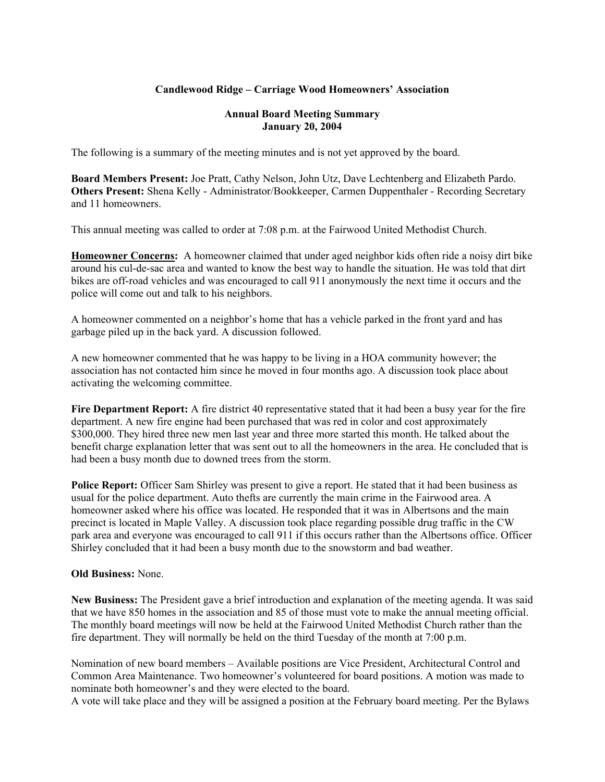## **Candlewood Ridge – Carriage Wood Homeowners' Association**

## **Annual Board Meeting Summary January 20, 2004**

The following is a summary of the meeting minutes and is not yet approved by the board.

**Board Members Present:** Joe Pratt, Cathy Nelson, John Utz, Dave Lechtenberg and Elizabeth Pardo. **Others Present:** Shena Kelly - Administrator/Bookkeeper, Carmen Duppenthaler - Recording Secretary and 11 homeowners.

This annual meeting was called to order at 7:08 p.m. at the Fairwood United Methodist Church.

**Homeowner Concerns:** A homeowner claimed that under aged neighbor kids often ride a noisy dirt bike around his cul-de-sac area and wanted to know the best way to handle the situation. He was told that dirt bikes are off-road vehicles and was encouraged to call 911 anonymously the next time it occurs and the police will come out and talk to his neighbors.

A homeowner commented on a neighbor's home that has a vehicle parked in the front yard and has garbage piled up in the back yard. A discussion followed.

A new homeowner commented that he was happy to be living in a HOA community however; the association has not contacted him since he moved in four months ago. A discussion took place about activating the welcoming committee.

**Fire Department Report:** A fire district 40 representative stated that it had been a busy year for the fire department. A new fire engine had been purchased that was red in color and cost approximately \$300,000. They hired three new men last year and three more started this month. He talked about the benefit charge explanation letter that was sent out to all the homeowners in the area. He concluded that is had been a busy month due to downed trees from the storm.

**Police Report:** Officer Sam Shirley was present to give a report. He stated that it had been business as usual for the police department. Auto thefts are currently the main crime in the Fairwood area. A homeowner asked where his office was located. He responded that it was in Albertsons and the main precinct is located in Maple Valley. A discussion took place regarding possible drug traffic in the CW park area and everyone was encouraged to call 911 if this occurs rather than the Albertsons office. Officer Shirley concluded that it had been a busy month due to the snowstorm and bad weather.

## **Old Business:** None.

**New Business:** The President gave a brief introduction and explanation of the meeting agenda. It was said that we have 850 homes in the association and 85 of those must vote to make the annual meeting official. The monthly board meetings will now be held at the Fairwood United Methodist Church rather than the fire department. They will normally be held on the third Tuesday of the month at 7:00 p.m.

Nomination of new board members – Available positions are Vice President, Architectural Control and Common Area Maintenance. Two homeowner's volunteered for board positions. A motion was made to nominate both homeowner's and they were elected to the board.

A vote will take place and they will be assigned a position at the February board meeting. Per the Bylaws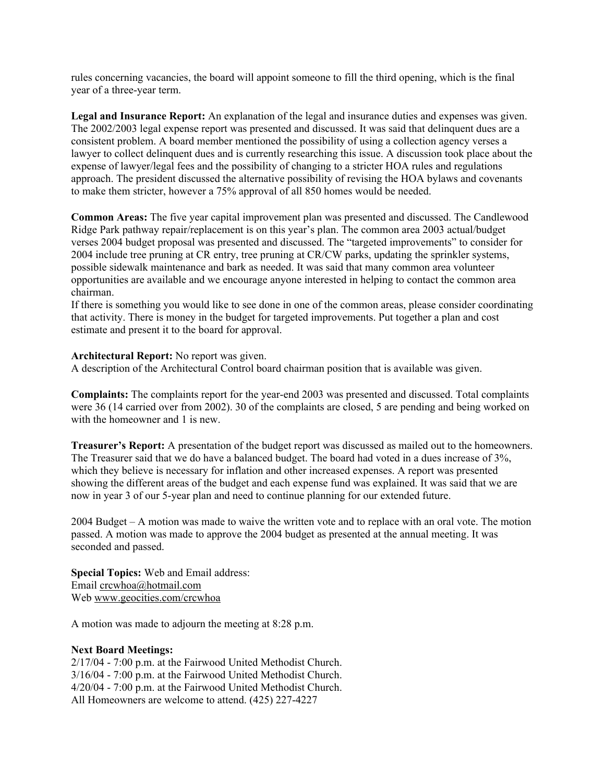rules concerning vacancies, the board will appoint someone to fill the third opening, which is the final year of a three-year term.

**Legal and Insurance Report:** An explanation of the legal and insurance duties and expenses was given. The 2002/2003 legal expense report was presented and discussed. It was said that delinquent dues are a consistent problem. A board member mentioned the possibility of using a collection agency verses a lawyer to collect delinquent dues and is currently researching this issue. A discussion took place about the expense of lawyer/legal fees and the possibility of changing to a stricter HOA rules and regulations approach. The president discussed the alternative possibility of revising the HOA bylaws and covenants to make them stricter, however a 75% approval of all 850 homes would be needed.

**Common Areas:** The five year capital improvement plan was presented and discussed. The Candlewood Ridge Park pathway repair/replacement is on this year's plan. The common area 2003 actual/budget verses 2004 budget proposal was presented and discussed. The "targeted improvements" to consider for 2004 include tree pruning at CR entry, tree pruning at CR/CW parks, updating the sprinkler systems, possible sidewalk maintenance and bark as needed. It was said that many common area volunteer opportunities are available and we encourage anyone interested in helping to contact the common area chairman.

If there is something you would like to see done in one of the common areas, please consider coordinating that activity. There is money in the budget for targeted improvements. Put together a plan and cost estimate and present it to the board for approval.

#### **Architectural Report:** No report was given.

A description of the Architectural Control board chairman position that is available was given.

**Complaints:** The complaints report for the year-end 2003 was presented and discussed. Total complaints were 36 (14 carried over from 2002). 30 of the complaints are closed, 5 are pending and being worked on with the homeowner and 1 is new.

**Treasurer's Report:** A presentation of the budget report was discussed as mailed out to the homeowners. The Treasurer said that we do have a balanced budget. The board had voted in a dues increase of 3%, which they believe is necessary for inflation and other increased expenses. A report was presented showing the different areas of the budget and each expense fund was explained. It was said that we are now in year 3 of our 5-year plan and need to continue planning for our extended future.

2004 Budget – A motion was made to waive the written vote and to replace with an oral vote. The motion passed. A motion was made to approve the 2004 budget as presented at the annual meeting. It was seconded and passed.

**Special Topics:** Web and Email address: Email crcwhoa@hotmail.com Web www.geocities.com/crcwhoa

A motion was made to adjourn the meeting at 8:28 p.m.

#### **Next Board Meetings:**

2/17/04 - 7:00 p.m. at the Fairwood United Methodist Church. 3/16/04 - 7:00 p.m. at the Fairwood United Methodist Church. 4/20/04 - 7:00 p.m. at the Fairwood United Methodist Church. All Homeowners are welcome to attend. (425) 227-4227